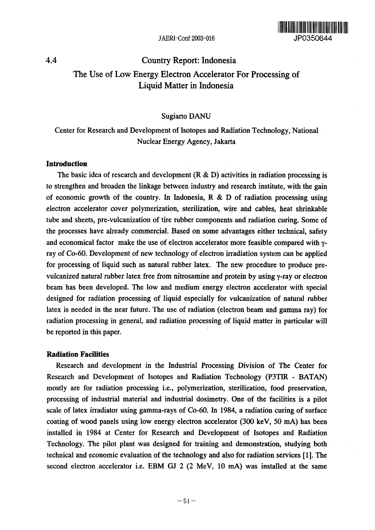

# 4.4 Country Report: Indonesia The Use of Low Energy Electron Accelerator For Processing of Liquid Matter in Indonesia

#### Sugiarto DANU

## Center for Research and Development of Isotopes and Radiation Technology, National Nuclear Energy Agency, Jakarta

#### **Introduction**

The basic idea of research and development  $(R & D)$  activities in radiation processing is to strengthen and broaden the linkage between industry and research institute, with the gain of economic growth of the country. In Indonesia,  $R \& D$  of radiation processing using electron accelerator cover polymerization, sterilization, wire and cables, heat shrinkable tube and sheets, pre-vulcanization of tire rubber components and radiation curing. Some of the processes have already commercial. Based on some advantages either technical, safety and economical factor make the use of electron accelerator more feasible compared with yray of Co-60. Development of new technology of electron irradiation system can be applied for processing of liquid such as natural rubber latex. The new procedure to produce prevulcanized natural rubber latex free from nitrosamine and protein by using y-ray or electron beam has been developed. The low and medium energy electron accelerator with special designed for radiation processing of liquid especially for vulcanization of natural rubber latex is needed in the near future. The use of radiation (electron beam and gamma ray) for radiation processing in general, and radiation processing of liquid matter in particular will be reported in this paper.

#### **Radiation Facilities**

Research and development in the Industrial Processing Division of The Center for Research and Development of Isotopes and Radiation Technology (P3TIR - BATAN) mostly are for radiation processing i.e., polymerization, sterilization, food preservation, processing of industrial material and industrial dosimetry. One of the facilities is a pilot scale of latex irradiator using gamma-rays of Co-60. In 1984, a radiation curing of surface coating of wood panels using low energy electron accelerator (300 keV, 50 mA) has been installed in 1984 at Center for Research and Development of Isotopes and Radiation Technology. The pilot plant was designed for training and demonstration, studying both technical and economic evaluation of the technology and also for radiation services [1]. The second electron accelerator i.e. EBM GJ 2 (2 MeV, 10 mA) was installed at the same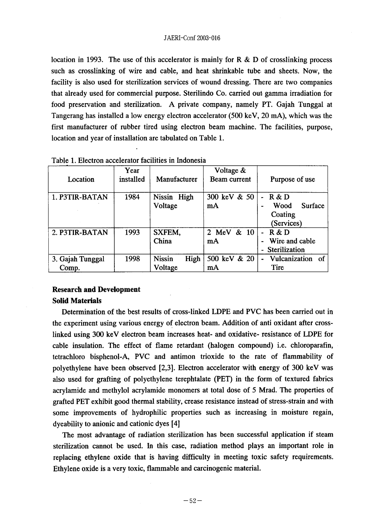location in 1993. The use of this accelerator is mainly for R  $\&$  D of crosslinking process such as crosslinking of wire and cable, and heat shrinkable tube and sheets. Now, the facility is also used for sterilization services of wound dressing. There are two companies that already used for commercial purpose. Sterilindo Co. carried out gamma irradiation for food preservation and sterilization. A private company, namely PT. Gajah Tunggal at Tangerang has installed a low energy electron accelerator (500 keV, 20 mA), which was the first manufacturer of rubber tired using electron beam machine. The facilities, purpose, location and year of installation are tabulated on Table 1.

| Location                  | Year<br>installed | Manufacturer                     | Voltage &<br>Beam current | Purpose of use                                           |
|---------------------------|-------------------|----------------------------------|---------------------------|----------------------------------------------------------|
| 1. P3TIR-BATAN            | 1984              | Nissin High<br>Voltage           | 300 keV & 50<br>mA        | R & D<br><b>Surface</b><br>Wood<br>Coating<br>(Services) |
| 2. P3TIR-BATAN            | 1993              | SXFEM,<br>China                  | $\&$ 10<br>2 MeV<br>mA    | R & D<br>Wire and cable<br>Sterilization                 |
| 3. Gajah Tunggal<br>Comp. | 1998              | <b>Nissin</b><br>High<br>Voltage | 500 keV & 20<br>mA        | Vulcanization of<br>Tire                                 |

Table 1. Electron accelerator facilities in Indonesia

## **Research and Development**

#### **Solid Materials**

Determination of the best results of cross-linked LDPE and PVC has been carried out in the experiment using various energy of electron beam. Addition of anti oxidant after crosslinked using 300 keV electron beam increases heat- and oxidative- resistance of LDPE for cable insulation. The effect of flame retardant (halogen compound) i.e. chloroparafin, tetrachloro bisphenol-A, PVC and antimon trioxide to the rate of flammability of polyethylene have been observed [2,3]. Electron accelerator with energy of 300 keV was also used for grafting of polyethylene terephtalate (PET) in the form of textured fabrics acrylamide and methylol acrylamide monomers at total dose of 5 Mrad. The properties of grafted PET exhibit good thermal stability, crease resistance instead of stress-strain and with some improvements of hydrophilic properties such as increasing in moisture regain, dyeability to anionic and cationic dyes [4]

The most advantage of radiation sterilization has been successful application if steam sterilization cannot be used. In this case, radiation method plays an important role in replacing ethylene oxide that is having difficulty in meeting toxic safety requirements. Ethylene oxide is a very toxic, flammable and carcinogenic material.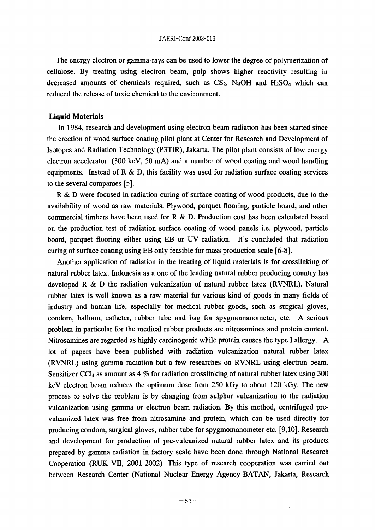#### JAERI-Conf 2003-016

The energy electron or gamma-rays can be used to lower the degree of polymerization of cellulose. By treating using electron beam, pulp shows higher reactivity resulting in decreased amounts of chemicals required, such as CS<sub>2</sub>, NaOH and H<sub>2</sub>SO<sub>4</sub> which can reduced the release of toxic chemical to the environment.

#### **Liquid Materials**

In 1984, research and development using electron beam radiation has been started since the erection of wood surface coating pilot plant at Center for Research and Development of Isotopes and Radiation Technology (P3TIR), Jakarta. The pilot plant consists of low energy electron accelerator  $(300 \text{ keV}, 50 \text{ mA})$  and a number of wood coating and wood handling equipments. Instead of R & D, this facility was used for radiation surface coating services to the several companies [5].

R & D were focused in radiation curing of surface coating of wood products, due to the availability of wood as raw materials. Plywood, parquet flooring, particle board, and other commercial timbers have been used for R & D. Production cost has been calculated based on the production test of radiation surface coating of wood panels i.e. plywood, particle board, parquet flooring either using EB or UV radiation. It's concluded that radiation curing of surface coating using EB only feasible for mass production scale [6-8].

Another application of radiation in the treating of liquid materials is for crosslinking of natural rubber latex. Indonesia as a one of the leading natural rubber producing country has developed R & D the radiation vulcanization of natural rubber latex (RVNRL). Natural rubber latex is well known as a raw material for various kind of goods in many fields of industry and human life, especially for medical rubber goods, such as surgical gloves, condom, balloon, catheter, rubber tube and bag for spygmomanometer, etc. A serious problem in particular for the medical rubber products are nitrosamines and protein content. Nitrosamines are regarded as highly carcinogenic while protein causes the type I allergy. A lot of papers have been published with radiation vulcanization natural rubber latex (RVNRL) using gamma radiation but a few researches on RVNRL using electron beam. Sensitizer CC $\mu$  as amount as 4 % for radiation crosslinking of natural rubber latex using 300 keV electron beam reduces the optimum dose from 250 kGy to about 120 kGy. The new process to solve the problem is by changing from sulphur vulcanization to the radiation vulcanization using gamma or electron beam radiation. By this method, centrifuged prevulcanized latex was free from nitrosamine and protein, which can be used directly for producing condom, surgical gloves, rubber tube for spygmomanometer etc. [9,10]. Research and development for production of pre-vulcanized natural rubber latex and its products prepared by gamma radiation in factory scale have been done through National Research Cooperation (RUK VII, 2001-2002). This type of research cooperation was carried out between Research Center (National Nuclear Energy Agency-BATAN, Jakarta, Research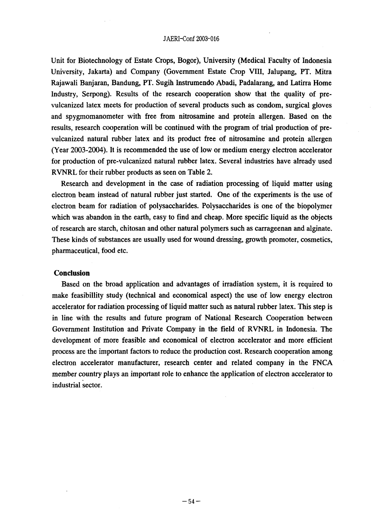Unit for Biotechnology of Estate Crops, Bogor), University (Medical Faculty of Indonesia University, Jakarta) and Company Government Estate Crop VIII, Ja1upang, PT. Mitra Rajawali Banjaran, Bandung, PT. Sugih Instrumendo Abadi, Padalarang, and Latirra. Home Industry, Serpong). Results of the research cooperation show that the quality of prevulcanized latex meets for production of several products such as condom, surgical gloves and spygmomanorneter with free from nitrosamine and protein allergen. Based on the results, research cooperation will be continued with the program of trial production of prevulcanized natural rubber latex and its product free of nitrosamine and protein allergen (Year 2003-2004). It is recommended the use of low or medium energy electron accelerator for production of pre-vulcanized natural rubber latex. Several industries have already used RVNRL for their rubber products as seen on Table 2.

Research and development in the case of radiation processing of liquid matter using electron beam instead of natural rubber just started. One of the experiments is the use of electron beam for radiation of polysaccharides. Polysaccharides is one of the biopolymer which was abandon in the earth, easy to find and cheap. More specific liquid as the objects of research are starch, chitosan and other natural polymers such as carrageenan and alginate. These kinds of substances are usually used for wound dressing, growth promoter, cosmetics, pharmaceutical, food etc.

#### **Conclusion**

Based on the broad application and advantages of irradiation system, it is required to make feasibillity study (technical and economical aspect) the use of low energy electron accelerator for radiation processing of liquid matter such as natural rubber latex. This step is in line with the results and future program of National Research Cooperation between Government Institution and Private Company in the field of RVNRL in Indonesia. The development of more feasible and economical of electron accelerator and more efficient process are the important factors to reduce the production cost. Research cooperation among electron accelerator manufacturer, research center and related company in the FNCA member country plays an important role to enhance the application of electron accelerator to industrial sector.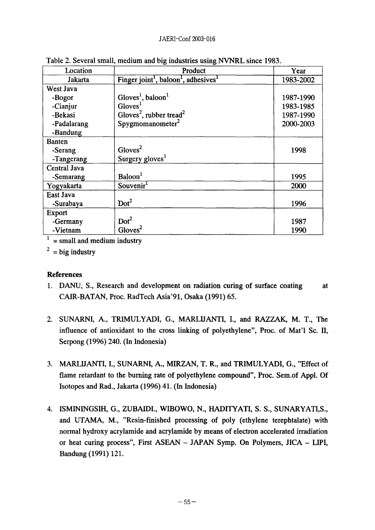| Location      | Product                                                                  | Year      |
|---------------|--------------------------------------------------------------------------|-----------|
| Jakarta       | Finger joint <sup>1</sup> , baloon <sup>1</sup> , adhesives <sup>1</sup> | 1983-2002 |
| West Java     |                                                                          |           |
| -Bogor        | Gloves <sup>1</sup> , baloon <sup>1</sup>                                | 1987-1990 |
| -Cianjur      | Gloves <sup>1</sup>                                                      | 1983-1985 |
| -Bekasi       | Gloves <sup>2</sup> , rubber tread <sup>2</sup>                          | 1987-1990 |
| -Padalarang   | Spygmonanometer <sup>2</sup>                                             | 2000-2003 |
| -Bandung      |                                                                          |           |
| <b>Banten</b> |                                                                          |           |
| -Serang       | Gloves <sup>2</sup>                                                      | 1998      |
| -Tangerang    | Surgery gloves <sup>1</sup>                                              |           |
| Central Java  |                                                                          |           |
| -Semarang     | Baloon <sup>1</sup>                                                      | 1995      |
| Yogyakarta    | Souvenir <sup>1</sup>                                                    | 2000      |
| East Java     |                                                                          |           |
| -Surabaya     | Dot <sup>2</sup>                                                         | 1996      |
| <b>Export</b> |                                                                          |           |
| -Germany      | Dot <sup>2</sup>                                                         | 1987      |
| -Vietnam      | Gloves <sup>2</sup>                                                      | 1990      |

Table 2. Several small, medium and big industries using NVNRL since 1983.

 $1 =$  small and medium industry

 $2 = big$  industry

## **References**

- **1.** DANU, S., Research and development on radiation curing of surface coating at CAIR-BATAN, Proc. RadTech Asia'91, Osaka (1991) 65.
- 2. SUNARNI, A., TRIMULYADI, G., MARLIJANTI, I., and RAZZAK, M. T., The influence of antioxidant to the cross linking of polyethylene", Proc. of Mat'l Sc. 11, Serpong 1996) 240. (In Indonesia)
- 3. MARLIJANTI, I., SUNARNI, A., MIRZAN, T. R., and TRIMULYADI, G., "Effect of flame retardant to the burning rate of polyethylene compound", Proc. Sem.of Appl. Of Isotopes and Rad., Jakarta 1996) 41. (In Indonesia)
- 4. ISMININGSIH, G., ZUBAIDI., WIBOWO, N., HADITYATI, S. S., SUNARYATIS., and UTAMA, M., "Resin-finished processing of poly (ethylene terephtalate) with normal hydroxy acrylamide and acrylamide by means of electron accelerated irradiation or heat curing process", First ASEAN - JAPAN Symp. On Polymers, JICA - LIPI, Bandung (1991) 121.